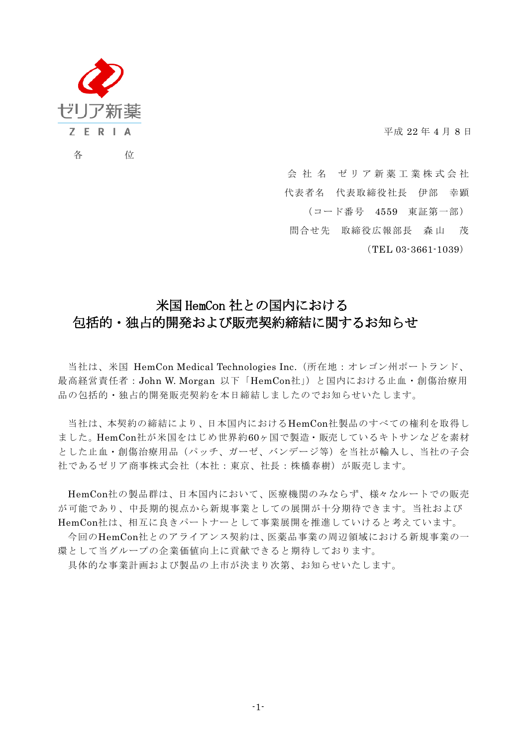

平成 22 年 4 月 8 日

会社名 ゼリア新薬工業株式会社

代表者名 代表取締役社長 伊部 幸顕

(コード番号 4559 東証第一部)

問合せ先 取締役広報部長 森 山 茂

(TEL 03-3661-1039)

## 米国 HemCon 社との国内における 包括的・独占的開発および販売契約締結に関するお知らせ

当社は、米国 HemCon Medical Technologies Inc.(所在地:オレゴン州ポートランド、 最高経営責任者:John W. Morgan 以下「HemCon社」)と国内における止血・創傷治療用 品の包括的・独占的開発販売契約を本日締結しましたのでお知らせいたします。

当社は、本契約の締結により、日本国内におけるHemCon社製品のすべての権利を取得し ました。HemCon社が米国をはじめ世界約60ヶ国で製造・販売しているキトサンなどを素材 とした止血・創傷治療用品(パッチ、ガーゼ、バンデージ等)を当社が輸入し、当社の子会 社であるゼリア商事株式会社(本社:東京、社長:株橋春樹)が販売します。

HemCon社の製品群は、日本国内において、医療機関のみならず、様々なルートでの販売 が可能であり、中長期的視点から新規事業としての展開が十分期待できます。当社および HemCon社は、相互に良きパートナーとして事業展開を推進していけると考えています。

今回のHemCon社とのアライアンス契約は、医薬品事業の周辺領域における新規事業の一 環として当グループの企業価値向上に貢献できると期待しております。

具体的な事業計画および製品の上市が決まり次第、お知らせいたします。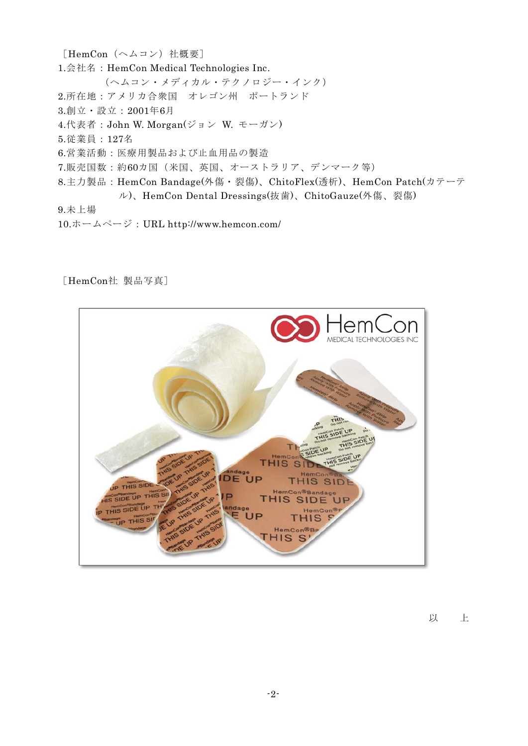[HemCon(ヘムコン)社概要] 1.会社名:HemCon Medical Technologies Inc. (ヘムコン・メディカル・テクノロジー・インク) 2.所在地:アメリカ合衆国 オレゴン州 ポートランド 3.創立・設立:2001年6月 4.代表者:John W. Morgan(ジョン W. モーガン) 5.従業員:127名 6.営業活動:医療用製品および止血用品の製造 7.販売国数:約60カ国(米国、英国、オーストラリア、デンマーク等) 8.主力製品:HemCon Bandage(外傷・裂傷)、ChitoFlex(透析)、HemCon Patch(カテーテ ル)、HemCon Dental Dressings(抜歯)、ChitoGauze(外傷、裂傷) 9.未上場

10.ホームページ:URL http://www.hemcon.com/

## [HemCon社 製品写真]



以 上